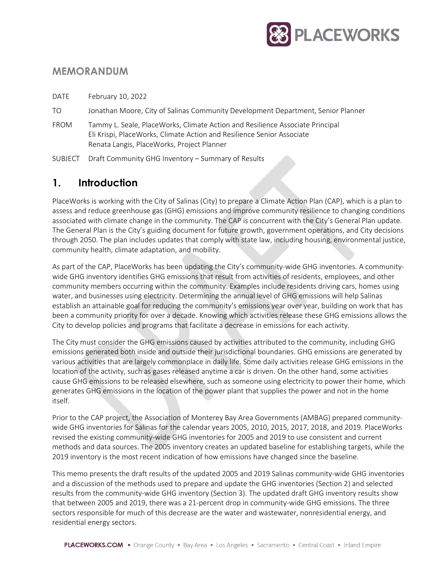

## **MEMORANDUM**

DATE February 10, 2022

- TO Jonathan Moore, City of Salinas Community Development Department, Senior Planner
- FROM Tammy L. Seale, PlaceWorks, Climate Action and Resilience Associate Principal Eli Krispi, PlaceWorks, Climate Action and Resilience Senior Associate Renata Langis, PlaceWorks, Project Planner
- SUBJECT Draft Community GHG Inventory Summary of Results

## **1. Introduction**

PlaceWorks is working with the City of Salinas (City) to prepare a Climate Action Plan (CAP), which is a plan to assess and reduce greenhouse gas (GHG) emissions and improve community resilience to changing conditions associated with climate change in the community. The CAP is concurrent with the City's General Plan update. The General Plan is the City's guiding document for future growth, government operations, and City decisions through 2050. The plan includes updates that comply with state law, including housing, environmental justice, community health, climate adaptation, and mobility.

As part of the CAP, PlaceWorks has been updating the City's community-wide GHG inventories. A communitywide GHG inventory identifies GHG emissions that result from activities of residents, employees, and other community members occurring within the community. Examples include residents driving cars, homes using water, and businesses using electricity. Determining the annual level of GHG emissions will help Salinas establish an attainable goal for reducing the community's emissions year over year, building on work that has been a community priority for over a decade. Knowing which activities release these GHG emissions allows the City to develop policies and programs that facilitate a decrease in emissions for each activity.

The City must consider the GHG emissions caused by activities attributed to the community, including GHG emissions generated both inside and outside their jurisdictional boundaries. GHG emissions are generated by various activities that are largely commonplace in daily life. Some daily activities release GHG emissions in the location of the activity, such as gases released anytime a car is driven. On the other hand, some activities cause GHG emissions to be released elsewhere, such as someone using electricity to power their home, which generates GHG emissions in the location of the power plant that supplies the power and not in the home itself.

Prior to the CAP project, the Association of Monterey Bay Area Governments (AMBAG) prepared communitywide GHG inventories for Salinas for the calendar years 2005, 2010, 2015, 2017, 2018, and 2019. PlaceWorks revised the existing community-wide GHG inventories for 2005 and 2019 to use consistent and current methods and data sources. The 2005 inventory creates an updated baseline for establishing targets, while the 2019 inventory is the most recent indication of how emissions have changed since the baseline.

This memo presents the draft results of the updated 2005 and 2019 Salinas community-wide GHG inventories and a discussion of the methods used to prepare and update the GHG inventories (Section 2) and selected results from the community-wide GHG inventory (Section 3). The updated draft GHG inventory results show that between 2005 and 2019, there was a 21-percent drop in community-wide GHG emissions. The three sectors responsible for much of this decrease are the water and wastewater, nonresidential energy, and residential energy sectors.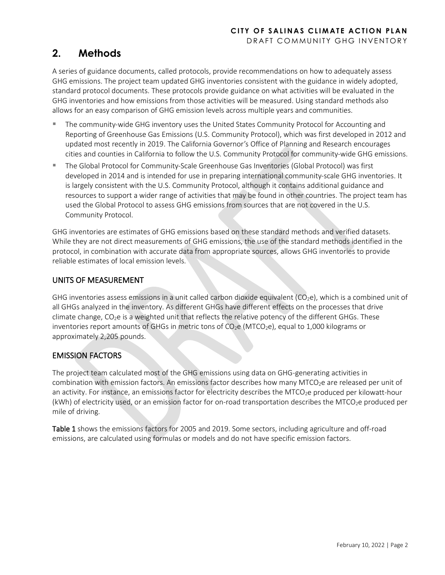# **2. Methods**

A series of guidance documents, called protocols, provide recommendations on how to adequately assess GHG emissions. The project team updated GHG inventories consistent with the guidance in widely adopted, standard protocol documents. These protocols provide guidance on what activities will be evaluated in the GHG inventories and how emissions from those activities will be measured. Using standard methods also allows for an easy comparison of GHG emission levels across multiple years and communities.

- The community-wide GHG inventory uses the United States Community Protocol for Accounting and Reporting of Greenhouse Gas Emissions (U.S. Community Protocol), which was first developed in 2012 and updated most recently in 2019. The California Governor's Office of Planning and Research encourages cities and counties in California to follow the U.S. Community Protocol for community-wide GHG emissions.
- The Global Protocol for Community-Scale Greenhouse Gas Inventories (Global Protocol) was first developed in 2014 and is intended for use in preparing international community-scale GHG inventories. It is largely consistent with the U.S. Community Protocol, although it contains additional guidance and resources to support a wider range of activities that may be found in other countries. The project team has used the Global Protocol to assess GHG emissions from sources that are not covered in the U.S. Community Protocol.

GHG inventories are estimates of GHG emissions based on these standard methods and verified datasets. While they are not direct measurements of GHG emissions, the use of the standard methods identified in the protocol, in combination with accurate data from appropriate sources, allows GHG inventories to provide reliable estimates of local emission levels.

## UNITS OF MEASUREMENT

GHG inventories assess emissions in a unit called carbon dioxide equivalent (CO<sub>2</sub>e), which is a combined unit of all GHGs analyzed in the inventory. As different GHGs have different effects on the processes that drive climate change,  $CO_2e$  is a weighted unit that reflects the relative potency of the different GHGs. These inventories report amounts of GHGs in metric tons of  $CO_2e$  (MTCO<sub>2</sub>e), equal to 1,000 kilograms or approximately 2,205 pounds.

### EMISSION FACTORS

The project team calculated most of the GHG emissions using data on GHG-generating activities in combination with emission factors. An emissions factor describes how many MTCO<sub>2</sub>e are released per unit of an activity. For instance, an emissions factor for electricity describes the MTCO<sub>2</sub>e produced per kilowatt-hour (kWh) of electricity used, or an emission factor for on-road transportation describes the MTCO<sub>2</sub>e produced per mile of driving.

Table 1 shows the emissions factors for 2005 and 2019. Some sectors, including agriculture and off-road emissions, are calculated using formulas or models and do not have specific emission factors.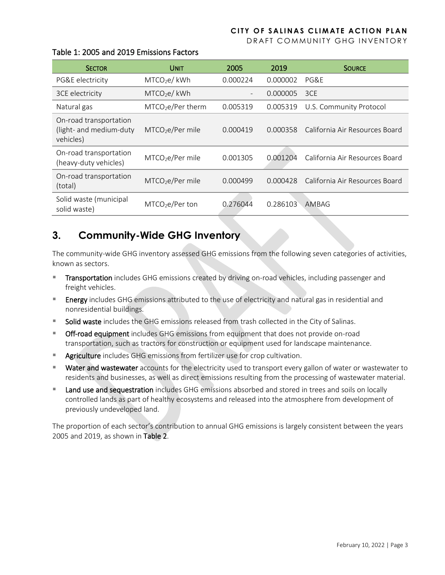DRAFT COMMUNITY GHG INVENTORY

| <b>SECTOR</b>                                                  | <b>UNIT</b>                  | 2005     | 2019     | <b>SOURCE</b>                  |
|----------------------------------------------------------------|------------------------------|----------|----------|--------------------------------|
| PG&E electricity                                               | MTCO <sub>2</sub> e/kWh      | 0.000224 | 0.000002 | PG&F                           |
| 3CE electricity                                                | MTCO <sub>2</sub> e/kWh      |          | 0.000005 | 3CE                            |
| Natural gas                                                    | $MTCO2e/Per$ therm           | 0.005319 | 0.005319 | U.S. Community Protocol        |
| On-road transportation<br>(light- and medium-duty<br>vehicles) | $MTCO2e/Per$ mile            | 0.000419 | 0.000358 | California Air Resources Board |
| On-road transportation<br>(heavy-duty vehicles)                | MTCO <sub>2</sub> e/Per mile | 0.001305 | 0.001204 | California Air Resources Board |
| On-road transportation<br>(total)                              | MTCO <sub>2</sub> e/Per mile | 0.000499 | 0.000428 | California Air Resources Board |
| Solid waste (municipal<br>solid waste)                         | $MTCO2e/Per$ ton             | 0.276044 | 0.286103 | AMBAG                          |

#### Table 1: 2005 and 2019 Emissions Factors

## **3. Community-Wide GHG Inventory**

The community-wide GHG inventory assessed GHG emissions from the following seven categories of activities, known as sectors.

- **Transportation** includes GHG emissions created by driving on-road vehicles, including passenger and freight vehicles.
- Energy includes GHG emissions attributed to the use of electricity and natural gas in residential and nonresidential buildings.
- Solid waste includes the GHG emissions released from trash collected in the City of Salinas.
- Off-road equipment includes GHG emissions from equipment that does not provide on-road transportation, such as tractors for construction or equipment used for landscape maintenance.
- **Agriculture** includes GHG emissions from fertilizer use for crop cultivation.
- **Water and wastewater** accounts for the electricity used to transport every gallon of water or wastewater to residents and businesses, as well as direct emissions resulting from the processing of wastewater material.
- Land use and sequestration includes GHG emissions absorbed and stored in trees and soils on locally controlled lands as part of healthy ecosystems and released into the atmosphere from development of previously undeveloped land.

The proportion of each sector's contribution to annual GHG emissions is largely consistent between the years 2005 and 2019, as shown in Table 2.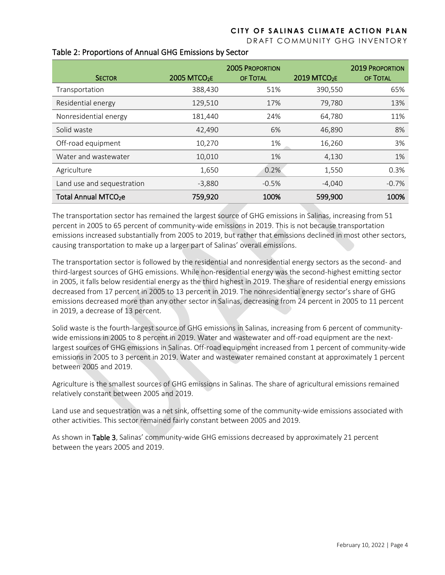DRAFT COMMUNITY GHG INVENTORY

|                                  | <b>2005 PROPORTION</b>   |          |                          | <b>2019 PROPORTION</b> |
|----------------------------------|--------------------------|----------|--------------------------|------------------------|
| <b>SECTOR</b>                    | 2005 MTCO <sub>2</sub> E | OF TOTAL | 2019 MTCO <sub>2</sub> E | OF TOTAL               |
| Transportation                   | 388,430                  | 51%      | 390,550                  | 65%                    |
| Residential energy               | 129,510                  | 17%      | 79,780                   | 13%                    |
| Nonresidential energy            | 181,440                  | 24%      | 64,780                   | 11%                    |
| Solid waste                      | 42,490                   | 6%       | 46,890                   | 8%                     |
| Off-road equipment               | 10,270                   | 1%       | 16,260                   | 3%                     |
| Water and wastewater             | 10,010                   | 1%       | 4,130                    | 1%                     |
| Agriculture                      | 1,650                    | 0.2%     | 1,550                    | 0.3%                   |
| Land use and sequestration       | $-3,880$                 | $-0.5%$  | $-4,040$                 | $-0.7%$                |
| Total Annual MTCO <sub>2</sub> e | 759,920                  | 100%     | 599,900                  | 100%                   |

#### Table 2: Proportions of Annual GHG Emissions by Sector

The transportation sector has remained the largest source of GHG emissions in Salinas, increasing from 51 percent in 2005 to 65 percent of community-wide emissions in 2019. This is not because transportation emissions increased substantially from 2005 to 2019, but rather that emissions declined in most other sectors, causing transportation to make up a larger part of Salinas' overall emissions.

The transportation sector is followed by the residential and nonresidential energy sectors as the second- and third-largest sources of GHG emissions. While non-residential energy was the second-highest emitting sector in 2005, it falls below residential energy as the third highest in 2019. The share of residential energy emissions decreased from 17 percent in 2005 to 13 percent in 2019. The nonresidential energy sector's share of GHG emissions decreased more than any other sector in Salinas, decreasing from 24 percent in 2005 to 11 percent in 2019, a decrease of 13 percent.

Solid waste is the fourth-largest source of GHG emissions in Salinas, increasing from 6 percent of communitywide emissions in 2005 to 8 percent in 2019. Water and wastewater and off-road equipment are the nextlargest sources of GHG emissions in Salinas. Off-road equipment increased from 1 percent of community-wide emissions in 2005 to 3 percent in 2019. Water and wastewater remained constant at approximately 1 percent between 2005 and 2019.

Agriculture is the smallest sources of GHG emissions in Salinas. The share of agricultural emissions remained relatively constant between 2005 and 2019.

Land use and sequestration was a net sink, offsetting some of the community-wide emissions associated with other activities. This sector remained fairly constant between 2005 and 2019.

As shown in Table 3, Salinas' community-wide GHG emissions decreased by approximately 21 percent between the years 2005 and 2019.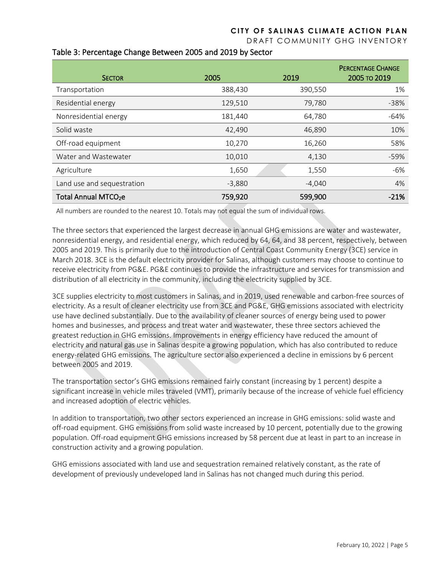DRAFT COMMUNITY GHG INVENTORY

| <b>SECTOR</b>                    | 2005     | 2019     | <b>PERCENTAGE CHANGE</b><br>2005 TO 2019 |
|----------------------------------|----------|----------|------------------------------------------|
| Transportation                   | 388,430  | 390,550  | 1%                                       |
| Residential energy               | 129,510  | 79,780   | $-38%$                                   |
| Nonresidential energy            | 181,440  | 64,780   | $-64%$                                   |
| Solid waste                      | 42,490   | 46,890   | 10%                                      |
| Off-road equipment               | 10,270   | 16,260   | 58%                                      |
| Water and Wastewater             | 10,010   | 4,130    | $-59%$                                   |
| Agriculture                      | 1,650    | 1,550    | -6%                                      |
| Land use and sequestration       | $-3,880$ | $-4,040$ | 4%                                       |
| Total Annual MTCO <sub>2</sub> e | 759,920  | 599,900  | $-21%$                                   |

#### Table 3: Percentage Change Between 2005 and 2019 by Sector

All numbers are rounded to the nearest 10. Totals may not equal the sum of individual rows.

The three sectors that experienced the largest decrease in annual GHG emissions are water and wastewater, nonresidential energy, and residential energy, which reduced by 64, 64, and 38 percent, respectively, between 2005 and 2019. This is primarily due to the introduction of Central Coast Community Energy (3CE) service in March 2018. 3CE is the default electricity provider for Salinas, although customers may choose to continue to receive electricity from PG&E. PG&E continues to provide the infrastructure and services for transmission and distribution of all electricity in the community, including the electricity supplied by 3CE.

3CE supplies electricity to most customers in Salinas, and in 2019, used renewable and carbon-free sources of electricity. As a result of cleaner electricity use from 3CE and PG&E, GHG emissions associated with electricity use have declined substantially. Due to the availability of cleaner sources of energy being used to power homes and businesses, and process and treat water and wastewater, these three sectors achieved the greatest reduction in GHG emissions. Improvements in energy efficiency have reduced the amount of electricity and natural gas use in Salinas despite a growing population, which has also contributed to reduce energy-related GHG emissions. The agriculture sector also experienced a decline in emissions by 6 percent between 2005 and 2019.

The transportation sector's GHG emissions remained fairly constant (increasing by 1 percent) despite a significant increase in vehicle miles traveled (VMT), primarily because of the increase of vehicle fuel efficiency and increased adoption of electric vehicles.

In addition to transportation, two other sectors experienced an increase in GHG emissions: solid waste and off-road equipment. GHG emissions from solid waste increased by 10 percent, potentially due to the growing population. Off-road equipment GHG emissions increased by 58 percent due at least in part to an increase in construction activity and a growing population.

GHG emissions associated with land use and sequestration remained relatively constant, as the rate of development of previously undeveloped land in Salinas has not changed much during this period.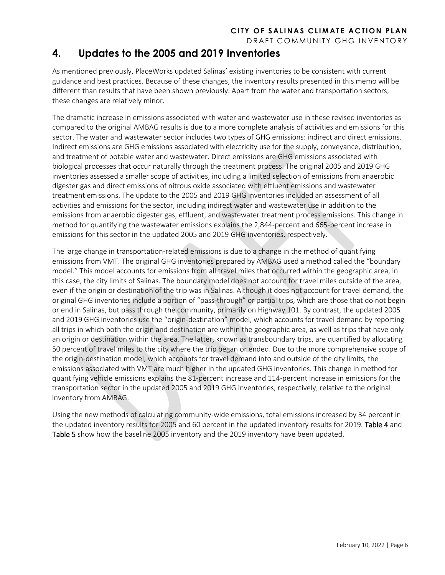DRAFT COMMUNITY GHG INVENTORY

## **4. Updates to the 2005 and 2019 Inventories**

As mentioned previously, PlaceWorks updated Salinas' existing inventories to be consistent with current guidance and best practices. Because of these changes, the inventory results presented in this memo will be different than results that have been shown previously. Apart from the water and transportation sectors, these changes are relatively minor.

The dramatic increase in emissions associated with water and wastewater use in these revised inventories as compared to the original AMBAG results is due to a more complete analysis of activities and emissions for this sector. The water and wastewater sector includes two types of GHG emissions: indirect and direct emissions. Indirect emissions are GHG emissions associated with electricity use for the supply, conveyance, distribution, and treatment of potable water and wastewater. Direct emissions are GHG emissions associated with biological processes that occur naturally through the treatment process. The original 2005 and 2019 GHG inventories assessed a smaller scope of activities, including a limited selection of emissions from anaerobic digester gas and direct emissions of nitrous oxide associated with effluent emissions and wastewater treatment emissions. The update to the 2005 and 2019 GHG inventories included an assessment of all activities and emissions for the sector, including indirect water and wastewater use in addition to the emissions from anaerobic digester gas, effluent, and wastewater treatment process emissions. This change in method for quantifying the wastewater emissions explains the 2,844-percent and 665-percent increase in emissions for this sector in the updated 2005 and 2019 GHG inventories, respectively.

The large change in transportation-related emissions is due to a change in the method of quantifying emissions from VMT. The original GHG inventories prepared by AMBAG used a method called the "boundary model." This model accounts for emissions from all travel miles that occurred within the geographic area, in this case, the city limits of Salinas. The boundary model does not account for travel miles outside of the area, even if the origin or destination of the trip was in Salinas. Although it does not account for travel demand, the original GHG inventories include a portion of "pass-through" or partial trips, which are those that do not begin or end in Salinas, but pass through the community, primarily on Highway 101. By contrast, the updated 2005 and 2019 GHG inventories use the "origin-destination" model, which accounts for travel demand by reporting all trips in which both the origin and destination are within the geographic area, as well as trips that have only an origin or destination within the area. The latter, known as transboundary trips, are quantified by allocating 50 percent of travel miles to the city where the trip began or ended. Due to the more comprehensive scope of the origin-destination model, which accounts for travel demand into and outside of the city limits, the emissions associated with VMT are much higher in the updated GHG inventories. This change in method for quantifying vehicle emissions explains the 81-percent increase and 114-percent increase in emissions for the transportation sector in the updated 2005 and 2019 GHG inventories, respectively, relative to the original inventory from AMBAG.

Using the new methods of calculating community-wide emissions, total emissions increased by 34 percent in the updated inventory results for 2005 and 60 percent in the updated inventory results for 2019. Table 4 and Table 5 show how the baseline 2005 inventory and the 2019 inventory have been updated.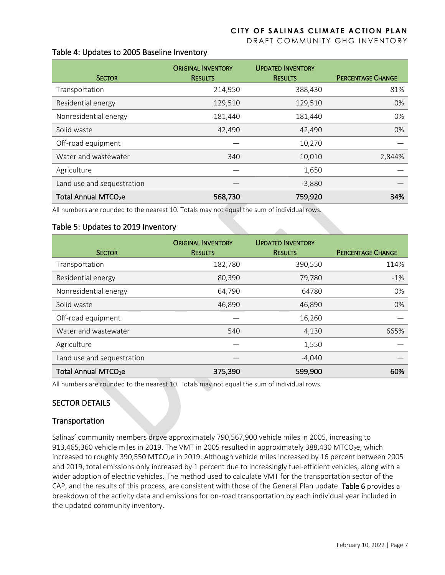DRAFT COMMUNITY GHG INVENTORY

#### Table 4: Updates to 2005 Baseline Inventory

| <b>SECTOR</b>                    | <b>ORIGINAL INVENTORY</b><br><b>RESULTS</b> | <b>UPDATED INVENTORY</b><br><b>RESULTS</b> | <b>PERCENTAGE CHANGE</b> |
|----------------------------------|---------------------------------------------|--------------------------------------------|--------------------------|
| Transportation                   | 214,950                                     | 388,430                                    | 81%                      |
| Residential energy               | 129,510                                     | 129,510                                    | 0%                       |
| Nonresidential energy            | 181,440                                     | 181,440                                    | 0%                       |
| Solid waste                      | 42,490                                      | 42,490                                     | 0%                       |
| Off-road equipment               |                                             | 10,270                                     |                          |
| Water and wastewater             | 340                                         | 10,010                                     | 2,844%                   |
| Agriculture                      |                                             | 1,650                                      |                          |
| Land use and sequestration       |                                             | $-3,880$                                   |                          |
| Total Annual MTCO <sub>2</sub> e | 568,730                                     | 759,920                                    | 34%                      |

All numbers are rounded to the nearest 10. Totals may not equal the sum of individual rows.

#### Table 5: Updates to 2019 Inventory

| <b>SECTOR</b>                    | <b>ORIGINAL INVENTORY</b><br><b>RESULTS</b> | <b>UPDATED INVENTORY</b><br><b>RESULTS</b> | <b>PERCENTAGE CHANGE</b> |
|----------------------------------|---------------------------------------------|--------------------------------------------|--------------------------|
| Transportation                   | 182,780                                     | 390,550                                    | 114%                     |
| Residential energy               | 80,390                                      | 79,780                                     | $-1%$                    |
| Nonresidential energy            | 64,790                                      | 64780                                      | 0%                       |
| Solid waste                      | 46,890                                      | 46,890                                     | 0%                       |
| Off-road equipment               |                                             | 16,260                                     |                          |
| Water and wastewater             | 540                                         | 4,130                                      | 665%                     |
| Agriculture                      |                                             | 1,550                                      |                          |
| Land use and sequestration       |                                             | $-4,040$                                   |                          |
| Total Annual MTCO <sub>2</sub> e | 375,390                                     | 599,900                                    | 60%                      |

All numbers are rounded to the nearest 10. Totals may not equal the sum of individual rows.

#### SECTOR DETAILS

#### Transportation

Salinas' community members drove approximately 790,567,900 vehicle miles in 2005, increasing to 913,465,360 vehicle miles in 2019. The VMT in 2005 resulted in approximately 388,430 MTCO<sub>2</sub>e, which increased to roughly 390,550 MTCO<sub>2</sub>e in 2019. Although vehicle miles increased by 16 percent between 2005 and 2019, total emissions only increased by 1 percent due to increasingly fuel-efficient vehicles, along with a wider adoption of electric vehicles. The method used to calculate VMT for the transportation sector of the CAP, and the results of this process, are consistent with those of the General Plan update. Table 6 provides a breakdown of the activity data and emissions for on-road transportation by each individual year included in the updated community inventory.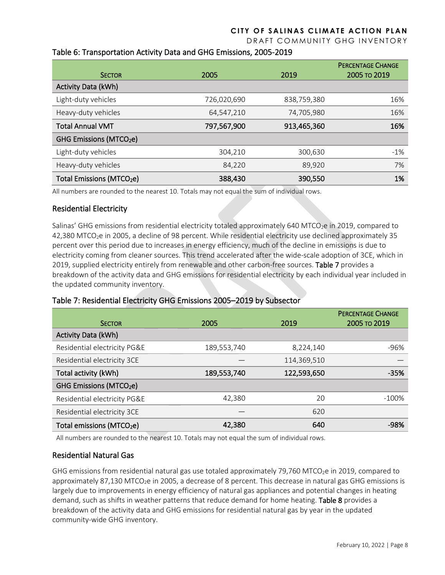DRAFT COMMUNITY GHG INVENTORY

### Table 6: Transportation Activity Data and GHG Emissions, 2005-2019

| <b>SECTOR</b>                         | 2005        | 2019        | <b>PERCENTAGE CHANGE</b><br>2005 TO 2019 |
|---------------------------------------|-------------|-------------|------------------------------------------|
| Activity Data (kWh)                   |             |             |                                          |
| Light-duty vehicles                   | 726,020,690 | 838,759,380 | 16%                                      |
| Heavy-duty vehicles                   | 64.547.210  | 74,705,980  | 16%                                      |
| <b>Total Annual VMT</b>               | 797,567,900 | 913,465,360 | 16%                                      |
| GHG Emissions (MTCO <sub>2</sub> e)   |             |             |                                          |
| Light-duty vehicles                   | 304,210     | 300,630     | $-1\%$                                   |
| Heavy-duty vehicles                   | 84,220      | 89.920      | 7%                                       |
| Total Emissions (MTCO <sub>2</sub> e) | 388,430     | 390,550     | 1%                                       |

All numbers are rounded to the nearest 10. Totals may not equal the sum of individual rows.

#### Residential Electricity

Salinas' GHG emissions from residential electricity totaled approximately 640 MTCO<sub>2</sub>e in 2019, compared to 42,380 MTCO2e in 2005, a decline of 98 percent. While residential electricity use declined approximately 35 percent over this period due to increases in energy efficiency, much of the decline in emissions is due to electricity coming from cleaner sources. This trend accelerated after the wide-scale adoption of 3CE, which in 2019, supplied electricity entirely from renewable and other carbon-free sources. Table 7 provides a breakdown of the activity data and GHG emissions for residential electricity by each individual year included in the updated community inventory.

#### Table 7: Residential Electricity GHG Emissions 2005–2019 by Subsector

| <b>SECTOR</b>                         | 2005        | 2019        | <b>PERCENTAGE CHANGE</b><br>2005 то 2019 |
|---------------------------------------|-------------|-------------|------------------------------------------|
| <b>Activity Data (kWh)</b>            |             |             |                                          |
| Residential electricity PG&E          | 189,553,740 | 8,224,140   | $-96%$                                   |
| Residential electricity 3CE           |             | 114,369,510 |                                          |
| Total activity (kWh)                  | 189,553,740 | 122,593,650 | $-35%$                                   |
| GHG Emissions (MTCO <sub>2</sub> e)   |             |             |                                          |
| Residential electricity PG&E          | 42,380      | 20          | $-100%$                                  |
| Residential electricity 3CE           |             | 620         |                                          |
| Total emissions (MTCO <sub>2</sub> e) | 42,380      | 640         | $-98%$                                   |

All numbers are rounded to the nearest 10. Totals may not equal the sum of individual rows.

#### Residential Natural Gas

GHG emissions from residential natural gas use totaled approximately 79,760 MTCO<sub>2</sub>e in 2019, compared to approximately 87,130 MTCO<sub>2</sub>e in 2005, a decrease of 8 percent. This decrease in natural gas GHG emissions is largely due to improvements in energy efficiency of natural gas appliances and potential changes in heating demand, such as shifts in weather patterns that reduce demand for home heating. Table 8 provides a breakdown of the activity data and GHG emissions for residential natural gas by year in the updated community-wide GHG inventory.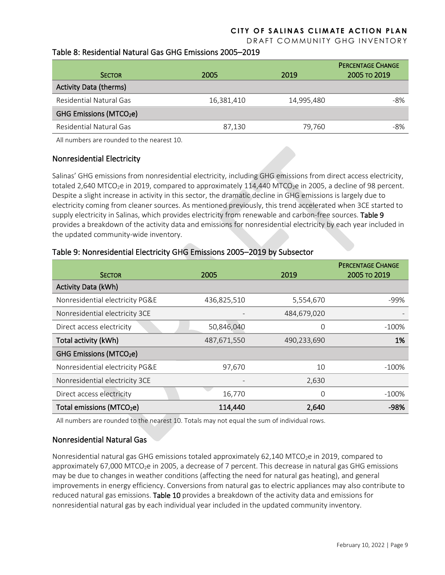DRAFT COMMUNITY GHG INVENTORY

#### Table 8: Residential Natural Gas GHG Emissions 2005–2019

| <b>SECTOR</b>                       | 2005       | 2019       | <b>PERCENTAGE CHANGE</b><br>2005 TO 2019 |
|-------------------------------------|------------|------------|------------------------------------------|
| <b>Activity Data (therms)</b>       |            |            |                                          |
| Residential Natural Gas             | 16,381,410 | 14,995,480 | $-8%$                                    |
| GHG Emissions (MTCO <sub>2</sub> e) |            |            |                                          |
| Residential Natural Gas             | 87,130     | 79.760     | -8%                                      |

All numbers are rounded to the nearest 10.

#### Nonresidential Electricity

Salinas' GHG emissions from nonresidential electricity, including GHG emissions from direct access electricity, totaled 2,640 MTCO<sub>2</sub>e in 2019, compared to approximately 114,440 MTCO<sub>2</sub>e in 2005, a decline of 98 percent. Despite a slight increase in activity in this sector, the dramatic decline in GHG emissions is largely due to electricity coming from cleaner sources. As mentioned previously, this trend accelerated when 3CE started to supply electricity in Salinas, which provides electricity from renewable and carbon-free sources. Table 9 provides a breakdown of the activity data and emissions for nonresidential electricity by each year included in the updated community-wide inventory.

#### Table 9: Nonresidential Electricity GHG Emissions 2005–2019 by Subsector

| <b>SECTOR</b>                         | 2005        | 2019        | <b>PERCENTAGE CHANGE</b><br>2005 то 2019 |
|---------------------------------------|-------------|-------------|------------------------------------------|
| <b>Activity Data (kWh)</b>            |             |             |                                          |
| Nonresidential electricity PG&E       | 436,825,510 | 5,554,670   | -99%                                     |
| Nonresidential electricity 3CE        |             | 484,679,020 |                                          |
| Direct access electricity             | 50,846,040  | 0           | $-100%$                                  |
| Total activity (kWh)                  | 487,671,550 | 490,233,690 | 1%                                       |
| GHG Emissions (MTCO <sub>2</sub> e)   |             |             |                                          |
| Nonresidential electricity PG&E       | 97,670      | 10          | $-100\%$                                 |
| Nonresidential electricity 3CE        |             | 2,630       |                                          |
| Direct access electricity             | 16,770      | 0           | $-100\%$                                 |
| Total emissions (MTCO <sub>2</sub> e) | 114,440     | 2,640       | $-98%$                                   |

All numbers are rounded to the nearest 10. Totals may not equal the sum of individual rows.

#### Nonresidential Natural Gas

Nonresidential natural gas GHG emissions totaled approximately 62,140 MTCO<sub>2</sub>e in 2019, compared to approximately 67,000 MTCO<sub>2</sub>e in 2005, a decrease of 7 percent. This decrease in natural gas GHG emissions may be due to changes in weather conditions (affecting the need for natural gas heating), and general improvements in energy efficiency. Conversions from natural gas to electric appliances may also contribute to reduced natural gas emissions. Table 10 provides a breakdown of the activity data and emissions for nonresidential natural gas by each individual year included in the updated community inventory.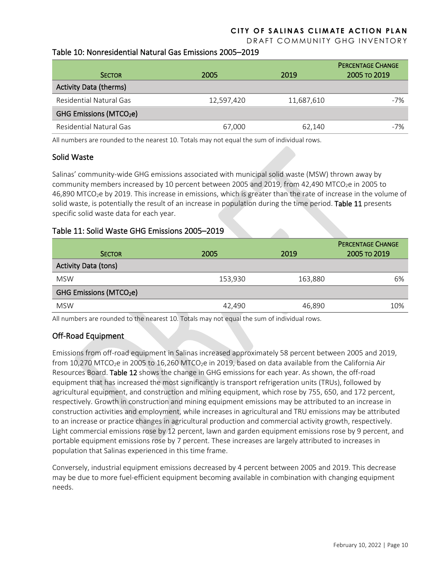DRAFT COMMUNITY GHG INVENTORY

#### Table 10: Nonresidential Natural Gas Emissions 2005–2019

| <b>SECTOR</b>                       | 2005       | 2019       | <b>PERCENTAGE CHANGE</b><br>2005 TO 2019 |
|-------------------------------------|------------|------------|------------------------------------------|
| <b>Activity Data (therms)</b>       |            |            |                                          |
| Residential Natural Gas             | 12,597,420 | 11,687,610 | $-7%$                                    |
| GHG Emissions (MTCO <sub>2</sub> e) |            |            |                                          |
| Residential Natural Gas             | 67.000     | 62.140     | $-7%$                                    |

All numbers are rounded to the nearest 10. Totals may not equal the sum of individual rows.

#### Solid Waste

Salinas' community-wide GHG emissions associated with municipal solid waste (MSW) thrown away by community members increased by 10 percent between 2005 and 2019, from 42,490 MTCO<sub>2</sub>e in 2005 to 46,890 MTCO2e by 2019. This increase in emissions, which is greater than the rate of increase in the volume of solid waste, is potentially the result of an increase in population during the time period. Table 11 presents specific solid waste data for each year.

#### Table 11: Solid Waste GHG Emissions 2005–2019

| <b>SECTOR</b>                       | 2005    | 2019    | <b>PERCENTAGE CHANGE</b><br>2005 то 2019 |
|-------------------------------------|---------|---------|------------------------------------------|
| <b>Activity Data (tons)</b>         |         |         |                                          |
| <b>MSW</b>                          | 153,930 | 163,880 | 6%                                       |
| GHG Emissions (MTCO <sub>2</sub> e) |         |         |                                          |
| <b>MSW</b>                          | 42,490  | 46,890  | 10%                                      |

All numbers are rounded to the nearest 10. Totals may not equal the sum of individual rows.

#### Off-Road Equipment

Emissions from off-road equipment in Salinas increased approximately 58 percent between 2005 and 2019, from 10,270 MTCO<sub>2</sub>e in 2005 to 16,260 MTCO<sub>2</sub>e in 2019, based on data available from the California Air Resources Board. Table 12 shows the change in GHG emissions for each year. As shown, the off-road equipment that has increased the most significantly is transport refrigeration units (TRUs), followed by agricultural equipment, and construction and mining equipment, which rose by 755, 650, and 172 percent, respectively. Growth in construction and mining equipment emissions may be attributed to an increase in construction activities and employment, while increases in agricultural and TRU emissions may be attributed to an increase or practice changes in agricultural production and commercial activity growth, respectively. Light commercial emissions rose by 12 percent, lawn and garden equipment emissions rose by 9 percent, and portable equipment emissions rose by 7 percent. These increases are largely attributed to increases in population that Salinas experienced in this time frame.

Conversely, industrial equipment emissions decreased by 4 percent between 2005 and 2019. This decrease may be due to more fuel-efficient equipment becoming available in combination with changing equipment needs.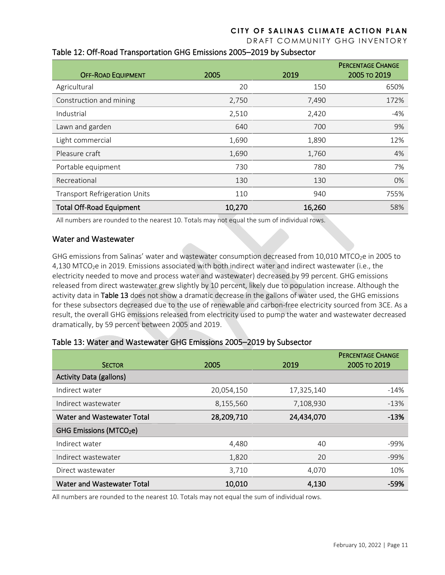DRAFT COMMUNITY GHG INVENTORY

| <b>OFF-ROAD EQUIPMENT</b>            | 2005   | 2019   | <b>PERCENTAGE CHANGE</b><br>2005 TO 2019 |
|--------------------------------------|--------|--------|------------------------------------------|
| Agricultural                         | 20     | 150    | 650%                                     |
| Construction and mining              | 2,750  | 7,490  | 172%                                     |
| Industrial                           | 2,510  | 2,420  | $-4%$                                    |
| Lawn and garden                      | 640    | 700    | 9%                                       |
| Light commercial                     | 1,690  | 1,890  | 12%                                      |
| Pleasure craft                       | 1,690  | 1,760  | 4%                                       |
| Portable equipment                   | 730    | 780    | 7%                                       |
| Recreational                         | 130    | 130    | 0%                                       |
| <b>Transport Refrigeration Units</b> | 110    | 940    | 755%                                     |
| <b>Total Off-Road Equipment</b>      | 10,270 | 16,260 | 58%                                      |

### Table 12: Off-Road Transportation GHG Emissions 2005–2019 by Subsector

All numbers are rounded to the nearest 10. Totals may not equal the sum of individual rows.

#### Water and Wastewater

GHG emissions from Salinas' water and wastewater consumption decreased from 10,010 MTCO<sub>2</sub>e in 2005 to 4,130 MTCO<sub>2</sub>e in 2019. Emissions associated with both indirect water and indirect wastewater (i.e., the electricity needed to move and process water and wastewater) decreased by 99 percent. GHG emissions released from direct wastewater grew slightly by 10 percent, likely due to population increase. Although the activity data in Table 13 does not show a dramatic decrease in the gallons of water used, the GHG emissions for these subsectors decreased due to the use of renewable and carbon-free electricity sourced from 3CE. As a result, the overall GHG emissions released from electricity used to pump the water and wastewater decreased dramatically, by 59 percent between 2005 and 2019.

| <b>SECTOR</b>                       | 2005       | 2019       | <b>PERCENTAGE CHANGE</b><br>2005 то 2019 |
|-------------------------------------|------------|------------|------------------------------------------|
| <b>Activity Data (gallons)</b>      |            |            |                                          |
| Indirect water                      | 20,054,150 | 17,325,140 | $-14%$                                   |
| Indirect wastewater                 | 8,155,560  | 7,108,930  | $-13%$                                   |
| Water and Wastewater Total          | 28,209,710 | 24,434,070 | $-13%$                                   |
| GHG Emissions (MTCO <sub>2</sub> e) |            |            |                                          |
| Indirect water                      | 4,480      | 40         | $-99%$                                   |
| Indirect wastewater                 | 1,820      | 20         | $-99%$                                   |
| Direct wastewater                   | 3,710      | 4,070      | 10%                                      |
| Water and Wastewater Total          | 10,010     | 4,130      | -59%                                     |

#### Table 13: Water and Wastewater GHG Emissions 2005–2019 by Subsector

All numbers are rounded to the nearest 10. Totals may not equal the sum of individual rows.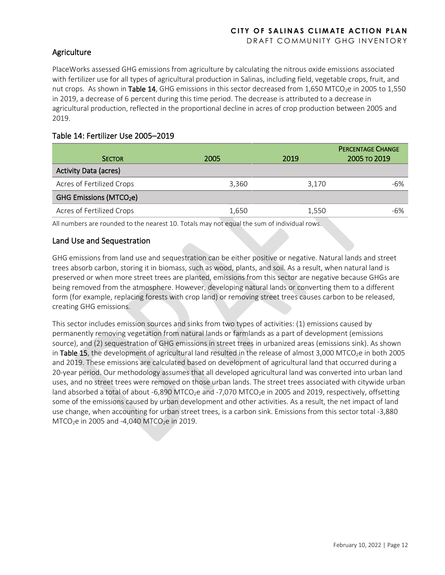## **Agriculture**

PlaceWorks assessed GHG emissions from agriculture by calculating the nitrous oxide emissions associated with fertilizer use for all types of agricultural production in Salinas, including field, vegetable crops, fruit, and nut crops. As shown in Table 14, GHG emissions in this sector decreased from 1,650 MTCO<sub>2</sub>e in 2005 to 1,550 in 2019, a decrease of 6 percent during this time period. The decrease is attributed to a decrease in agricultural production, reflected in the proportional decline in acres of crop production between 2005 and 2019.

### Table 14: Fertilizer Use 2005–2019

| <b>SECTOR</b>                       | 2005  | 2019  | <b>PERCENTAGE CHANGE</b><br>2005 TO 2019 |
|-------------------------------------|-------|-------|------------------------------------------|
| <b>Activity Data (acres)</b>        |       |       |                                          |
| Acres of Fertilized Crops           | 3.360 | 3.170 | $-6%$                                    |
| GHG Emissions (MTCO <sub>2</sub> e) |       |       |                                          |
| Acres of Fertilized Crops           | 1.650 | 1.550 | $-6%$                                    |

All numbers are rounded to the nearest 10. Totals may not equal the sum of individual rows.

### Land Use and Sequestration

GHG emissions from land use and sequestration can be either positive or negative. Natural lands and street trees absorb carbon, storing it in biomass, such as wood, plants, and soil. As a result, when natural land is preserved or when more street trees are planted, emissions from this sector are negative because GHGs are being removed from the atmosphere. However, developing natural lands or converting them to a different form (for example, replacing forests with crop land) or removing street trees causes carbon to be released, creating GHG emissions.

This sector includes emission sources and sinks from two types of activities: (1) emissions caused by permanently removing vegetation from natural lands or farmlands as a part of development (emissions source), and (2) sequestration of GHG emissions in street trees in urbanized areas (emissions sink). As shown in Table 15, the development of agricultural land resulted in the release of almost 3,000 MTCO<sub>2</sub>e in both 2005 and 2019. These emissions are calculated based on development of agricultural land that occurred during a 20-year period. Our methodology assumes that all developed agricultural land was converted into urban land uses, and no street trees were removed on those urban lands. The street trees associated with citywide urban land absorbed a total of about -6,890 MTCO<sub>2</sub>e and -7,070 MTCO<sub>2</sub>e in 2005 and 2019, respectively, offsetting some of the emissions caused by urban development and other activities. As a result, the net impact of land use change, when accounting for urban street trees, is a carbon sink. Emissions from this sector total -3,880 MTCO<sub>2</sub>e in 2005 and -4,040 MTCO<sub>2</sub>e in 2019.